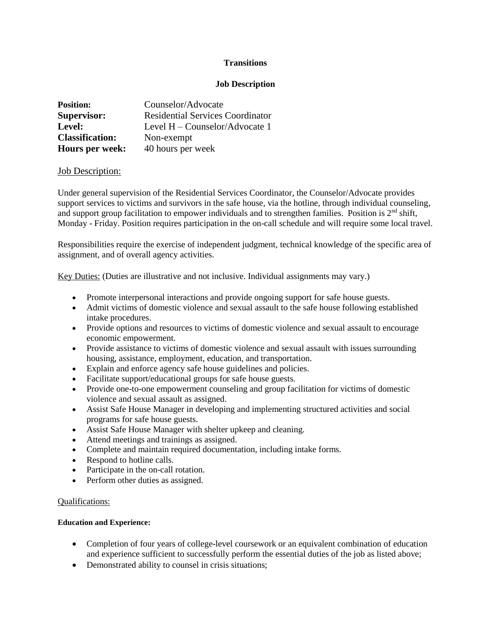# **Transitions**

# **Job Description**

| <b>Position:</b>       | Counselor/Advocate                      |
|------------------------|-----------------------------------------|
| <b>Supervisor:</b>     | <b>Residential Services Coordinator</b> |
| Level:                 | Level $H -$ Counselor/Advocate 1        |
| <b>Classification:</b> | Non-exempt                              |
| Hours per week:        | 40 hours per week                       |

## Job Description:

Under general supervision of the Residential Services Coordinator, the Counselor/Advocate provides support services to victims and survivors in the safe house, via the hotline, through individual counseling, and support group facilitation to empower individuals and to strengthen families. Position is  $2<sup>nd</sup>$  shift, Monday - Friday. Position requires participation in the on-call schedule and will require some local travel.

Responsibilities require the exercise of independent judgment, technical knowledge of the specific area of assignment, and of overall agency activities.

Key Duties: (Duties are illustrative and not inclusive. Individual assignments may vary.)

- Promote interpersonal interactions and provide ongoing support for safe house guests.
- Admit victims of domestic violence and sexual assault to the safe house following established intake procedures.
- Provide options and resources to victims of domestic violence and sexual assault to encourage economic empowerment.
- Provide assistance to victims of domestic violence and sexual assault with issues surrounding housing, assistance, employment, education, and transportation.
- Explain and enforce agency safe house guidelines and policies.
- Facilitate support/educational groups for safe house guests.
- Provide one-to-one empowerment counseling and group facilitation for victims of domestic violence and sexual assault as assigned.
- Assist Safe House Manager in developing and implementing structured activities and social programs for safe house guests.
- Assist Safe House Manager with shelter upkeep and cleaning.
- Attend meetings and trainings as assigned.
- Complete and maintain required documentation, including intake forms.
- Respond to hotline calls.
- Participate in the on-call rotation.
- Perform other duties as assigned.

## Qualifications:

## **Education and Experience:**

- Completion of four years of college-level coursework or an equivalent combination of education and experience sufficient to successfully perform the essential duties of the job as listed above;
- Demonstrated ability to counsel in crisis situations;